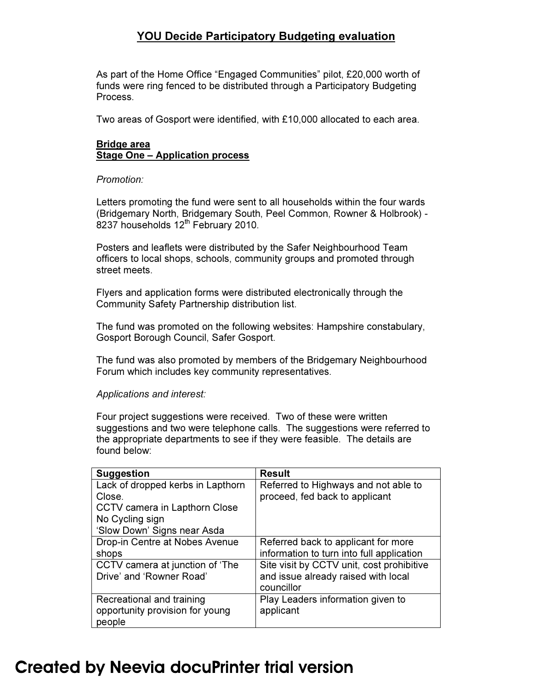## YOU Decide Participatory Budgeting evaluation

As part of the Home Office "Engaged Communities" pilot, £20,000 worth of funds were ring fenced to be distributed through a Participatory Budgeting Process.

Two areas of Gosport were identified, with £10,000 allocated to each area.

## Bridge area Stage One – Application process

#### *Promotion:*

Letters promoting the fund were sent to all households within the four wards (Bridgemary North, Bridgemary South, Peel Common, Rowner & Holbrook) -  $8237$  households  $12<sup>th</sup>$  February 2010.

Posters and leaflets were distributed by the Safer Neighbourhood Team officers to local shops, schools, community groups and promoted through street meets.

Flyers and application forms were distributed electronically through the Community Safety Partnership distribution list.

The fund was promoted on the following websites: Hampshire constabulary, Gosport Borough Council, Safer Gosport.

The fund was also promoted by members of the Bridgemary Neighbourhood Forum which includes key community representatives.

#### *Applications and interest:*

Four project suggestions were received. Two of these were written suggestions and two were telephone calls. The suggestions were referred to the appropriate departments to see if they were feasible. The details are found below:

| <b>Suggestion</b>                 | <b>Result</b>                             |
|-----------------------------------|-------------------------------------------|
| Lack of dropped kerbs in Lapthorn | Referred to Highways and not able to      |
| Close.                            | proceed, fed back to applicant            |
| CCTV camera in Lapthorn Close     |                                           |
| No Cycling sign                   |                                           |
| 'Slow Down' Signs near Asda       |                                           |
| Drop-in Centre at Nobes Avenue    | Referred back to applicant for more       |
| shops                             | information to turn into full application |
| CCTV camera at junction of 'The   | Site visit by CCTV unit, cost prohibitive |
| Drive' and 'Rowner Road'          | and issue already raised with local       |
|                                   | councillor                                |
| Recreational and training         | Play Leaders information given to         |
| opportunity provision for young   | applicant                                 |
| people                            |                                           |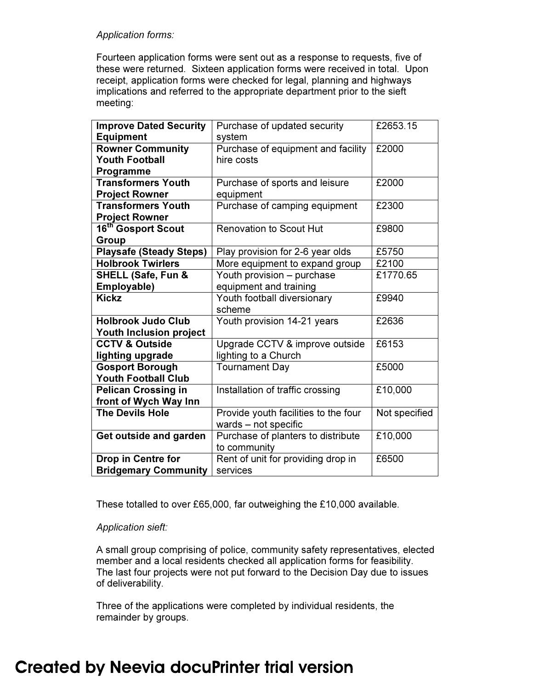#### *Application forms:*

Fourteen application forms were sent out as a response to requests, five of these were returned. Sixteen application forms were received in total. Upon receipt, application forms were checked for legal, planning and highways implications and referred to the appropriate department prior to the sieft meeting:

| <b>Improve Dated Security</b>  | Purchase of updated security         | £2653.15      |
|--------------------------------|--------------------------------------|---------------|
| <b>Equipment</b>               | system                               |               |
| <b>Rowner Community</b>        | Purchase of equipment and facility   | £2000         |
| <b>Youth Football</b>          | hire costs                           |               |
| Programme                      |                                      |               |
| <b>Transformers Youth</b>      | Purchase of sports and leisure       | £2000         |
| <b>Project Rowner</b>          | equipment                            |               |
| <b>Transformers Youth</b>      | Purchase of camping equipment        | £2300         |
| <b>Project Rowner</b>          |                                      |               |
| 16 <sup>th</sup> Gosport Scout | <b>Renovation to Scout Hut</b>       | £9800         |
| Group                          |                                      |               |
| <b>Playsafe (Steady Steps)</b> | Play provision for 2-6 year olds     | £5750         |
| <b>Holbrook Twirlers</b>       | More equipment to expand group       | £2100         |
| SHELL (Safe, Fun &             | Youth provision - purchase           | £1770.65      |
| Employable)                    | equipment and training               |               |
| <b>Kickz</b>                   | Youth football diversionary          | £9940         |
|                                | scheme                               |               |
| <b>Holbrook Judo Club</b>      | Youth provision 14-21 years          | £2636         |
| <b>Youth Inclusion project</b> |                                      |               |
| <b>CCTV &amp; Outside</b>      | Upgrade CCTV & improve outside       | £6153         |
| lighting upgrade               | lighting to a Church                 |               |
| <b>Gosport Borough</b>         | <b>Tournament Day</b>                | £5000         |
| <b>Youth Football Club</b>     |                                      |               |
| <b>Pelican Crossing in</b>     | Installation of traffic crossing     | £10,000       |
| front of Wych Way Inn          |                                      |               |
| <b>The Devils Hole</b>         | Provide youth facilities to the four | Not specified |
|                                | wards - not specific                 |               |
| Get outside and garden         | Purchase of planters to distribute   | £10,000       |
|                                | to community                         |               |
| <b>Drop in Centre for</b>      | Rent of unit for providing drop in   | £6500         |
| <b>Bridgemary Community</b>    | services                             |               |

These totalled to over £65,000, far outweighing the £10,000 available.

## *Application sieft:*

A small group comprising of police, community safety representatives, elected member and a local residents checked all application forms for feasibility. The last four projects were not put forward to the Decision Day due to issues of deliverability.

Three of the applications were completed by individual residents, the remainder by groups.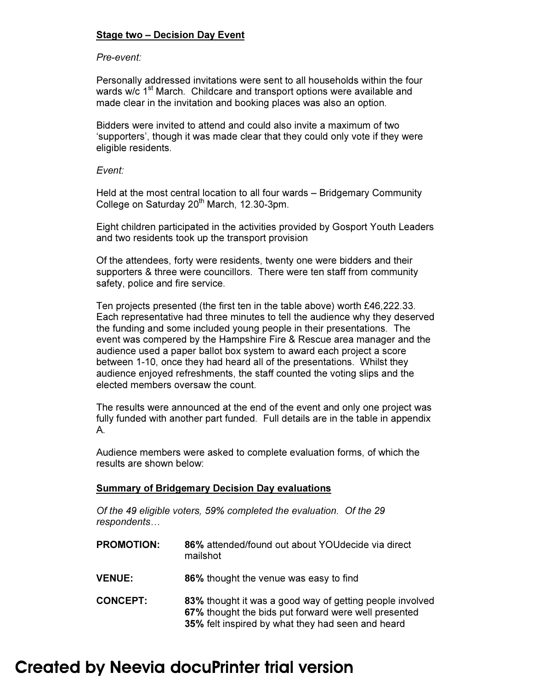## Stage two – Decision Day Event

#### *Pre-event:*

Personally addressed invitations were sent to all households within the four wards w/c 1<sup>st</sup> March. Childcare and transport options were available and made clear in the invitation and booking places was also an option.

Bidders were invited to attend and could also invite a maximum of two 'supporters', though it was made clear that they could only vote if they were eligible residents.

#### *Event:*

Held at the most central location to all four wards – Bridgemary Community College on Saturday 20<sup>th</sup> March, 12.30-3pm.

Eight children participated in the activities provided by Gosport Youth Leaders and two residents took up the transport provision

Of the attendees, forty were residents, twenty one were bidders and their supporters & three were councillors. There were ten staff from community safety, police and fire service.

Ten projects presented (the first ten in the table above) worth £46,222.33. Each representative had three minutes to tell the audience why they deserved the funding and some included young people in their presentations. The event was compered by the Hampshire Fire & Rescue area manager and the audience used a paper ballot box system to award each project a score between 1-10, once they had heard all of the presentations. Whilst they audience enjoyed refreshments, the staff counted the voting slips and the elected members oversaw the count.

The results were announced at the end of the event and only one project was fully funded with another part funded. Full details are in the table in appendix A.

Audience members were asked to complete evaluation forms, of which the results are shown below:

#### Summary of Bridgemary Decision Day evaluations

*Of the 49 eligible voters, 59% completed the evaluation. Of the 29 respondents…* 

| <b>PROMOTION:</b> | 86% attended/found out about YOU decide via direct<br>mailshot                                                                                                        |
|-------------------|-----------------------------------------------------------------------------------------------------------------------------------------------------------------------|
| <b>VENUE:</b>     | 86% thought the venue was easy to find                                                                                                                                |
| <b>CONCEPT:</b>   | 83% thought it was a good way of getting people involved<br>67% thought the bids put forward were well presented<br>35% felt inspired by what they had seen and heard |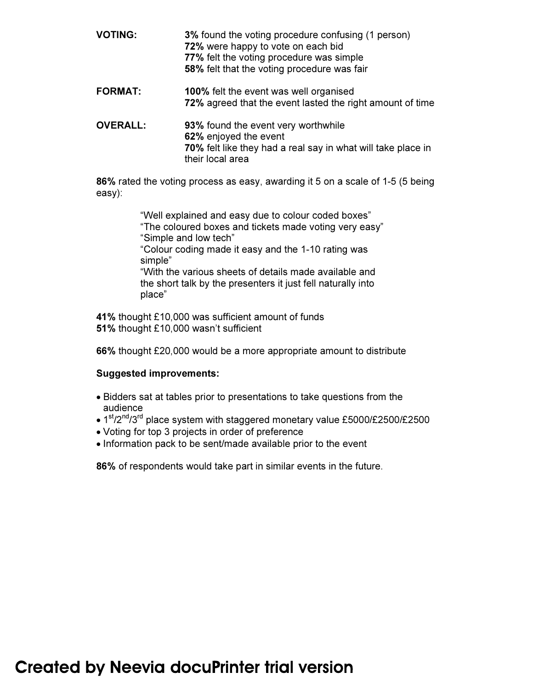| <b>VOTING:</b>  | 3% found the voting procedure confusing (1 person)<br>72% were happy to vote on each bid<br>77% felt the voting procedure was simple<br>58% felt that the voting procedure was fair |
|-----------------|-------------------------------------------------------------------------------------------------------------------------------------------------------------------------------------|
| <b>FORMAT:</b>  | <b>100%</b> felt the event was well organised<br>72% agreed that the event lasted the right amount of time                                                                          |
| <b>OVERALL:</b> | 93% found the event very worthwhile<br>62% enjoyed the event<br>70% felt like they had a real say in what will take place in<br>their local area                                    |

86% rated the voting process as easy, awarding it 5 on a scale of 1-5 (5 being easy):

> "Well explained and easy due to colour coded boxes" "The coloured boxes and tickets made voting very easy" "Simple and low tech" "Colour coding made it easy and the 1-10 rating was simple" "With the various sheets of details made available and the short talk by the presenters it just fell naturally into place"

41% thought £10,000 was sufficient amount of funds 51% thought £10,000 wasn't sufficient

66% thought £20,000 would be a more appropriate amount to distribute

## Suggested improvements:

- Bidders sat at tables prior to presentations to take questions from the audience
- 1<sup>st</sup>/2<sup>nd</sup>/3<sup>rd</sup> place system with staggered monetary value £5000/£2500/£2500
- Voting for top 3 projects in order of preference
- Information pack to be sent/made available prior to the event

86% of respondents would take part in similar events in the future.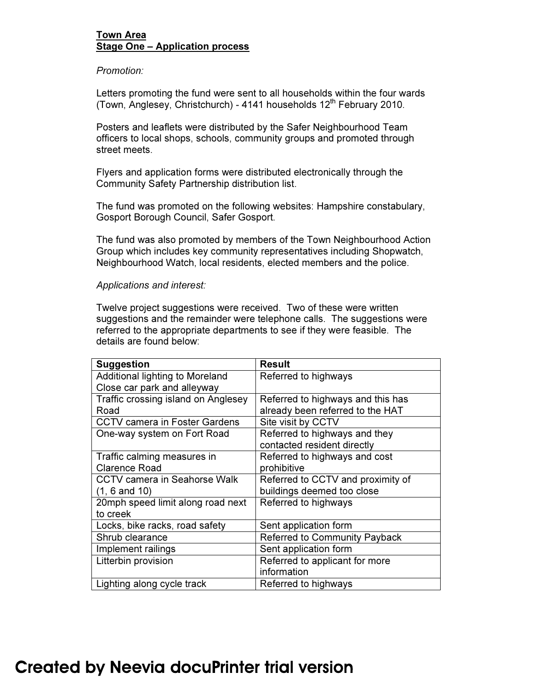### Town Area Stage One – Application process

#### *Promotion:*

Letters promoting the fund were sent to all households within the four wards (Town, Anglesey, Christchurch) - 4141 households  $12<sup>th</sup>$  February 2010.

Posters and leaflets were distributed by the Safer Neighbourhood Team officers to local shops, schools, community groups and promoted through street meets.

Flyers and application forms were distributed electronically through the Community Safety Partnership distribution list.

The fund was promoted on the following websites: Hampshire constabulary, Gosport Borough Council, Safer Gosport.

The fund was also promoted by members of the Town Neighbourhood Action Group which includes key community representatives including Shopwatch, Neighbourhood Watch, local residents, elected members and the police.

#### *Applications and interest:*

Twelve project suggestions were received. Two of these were written suggestions and the remainder were telephone calls. The suggestions were referred to the appropriate departments to see if they were feasible. The details are found below:

| <b>Suggestion</b>                    | <b>Result</b>                        |
|--------------------------------------|--------------------------------------|
| Additional lighting to Moreland      | Referred to highways                 |
| Close car park and alleyway          |                                      |
| Traffic crossing island on Anglesey  | Referred to highways and this has    |
| Road                                 | already been referred to the HAT     |
| <b>CCTV camera in Foster Gardens</b> | Site visit by CCTV                   |
| One-way system on Fort Road          | Referred to highways and they        |
|                                      | contacted resident directly          |
| Traffic calming measures in          | Referred to highways and cost        |
| <b>Clarence Road</b>                 | prohibitive                          |
| <b>CCTV camera in Seahorse Walk</b>  | Referred to CCTV and proximity of    |
| $(1, 6$ and $10)$                    | buildings deemed too close           |
| 20mph speed limit along road next    | Referred to highways                 |
| to creek                             |                                      |
| Locks, bike racks, road safety       | Sent application form                |
| Shrub clearance                      | <b>Referred to Community Payback</b> |
| Implement railings                   | Sent application form                |
| Litterbin provision                  | Referred to applicant for more       |
|                                      | information                          |
| Lighting along cycle track           | Referred to highways                 |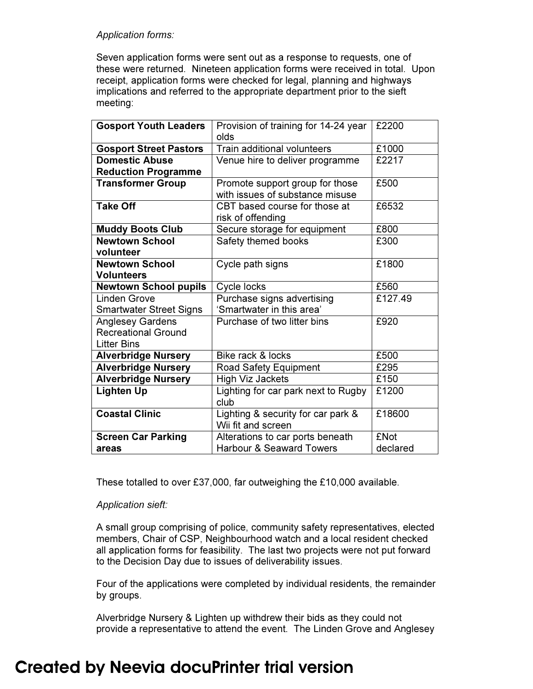### *Application forms:*

Seven application forms were sent out as a response to requests, one of these were returned. Nineteen application forms were received in total. Upon receipt, application forms were checked for legal, planning and highways implications and referred to the appropriate department prior to the sieft meeting:

| <b>Gosport Youth Leaders</b>   | Provision of training for 14-24 year<br>olds | £2200       |
|--------------------------------|----------------------------------------------|-------------|
| <b>Gosport Street Pastors</b>  | Train additional volunteers                  | £1000       |
| <b>Domestic Abuse</b>          | Venue hire to deliver programme              | £2217       |
| <b>Reduction Programme</b>     |                                              |             |
| <b>Transformer Group</b>       | Promote support group for those              | £500        |
|                                | with issues of substance misuse              |             |
| <b>Take Off</b>                | CBT based course for those at                | £6532       |
|                                | risk of offending                            |             |
| <b>Muddy Boots Club</b>        | Secure storage for equipment                 | £800        |
| <b>Newtown School</b>          | Safety themed books                          | £300        |
| volunteer                      |                                              |             |
| <b>Newtown School</b>          | Cycle path signs                             | £1800       |
| <b>Volunteers</b>              |                                              |             |
| <b>Newtown School pupils</b>   | Cycle locks                                  | £560        |
| <b>Linden Grove</b>            | Purchase signs advertising                   | £127.49     |
| <b>Smartwater Street Signs</b> | 'Smartwater in this area'                    |             |
| <b>Anglesey Gardens</b>        | Purchase of two litter bins                  | £920        |
| <b>Recreational Ground</b>     |                                              |             |
| <b>Litter Bins</b>             |                                              |             |
| <b>Alverbridge Nursery</b>     | Bike rack & locks                            | £500        |
| <b>Alverbridge Nursery</b>     | <b>Road Safety Equipment</b>                 | £295        |
| <b>Alverbridge Nursery</b>     | <b>High Viz Jackets</b>                      | £150        |
| Lighten Up                     | Lighting for car park next to Rugby          | £1200       |
|                                | club                                         |             |
| <b>Coastal Clinic</b>          | Lighting & security for car park &           | £18600      |
|                                | Wii fit and screen                           |             |
| <b>Screen Car Parking</b>      | Alterations to car ports beneath             | <b>£Not</b> |
| areas                          | <b>Harbour &amp; Seaward Towers</b>          | declared    |

These totalled to over £37,000, far outweighing the £10,000 available.

## *Application sieft:*

A small group comprising of police, community safety representatives, elected members, Chair of CSP, Neighbourhood watch and a local resident checked all application forms for feasibility. The last two projects were not put forward to the Decision Day due to issues of deliverability issues.

Four of the applications were completed by individual residents, the remainder by groups.

Alverbridge Nursery & Lighten up withdrew their bids as they could not provide a representative to attend the event. The Linden Grove and Anglesey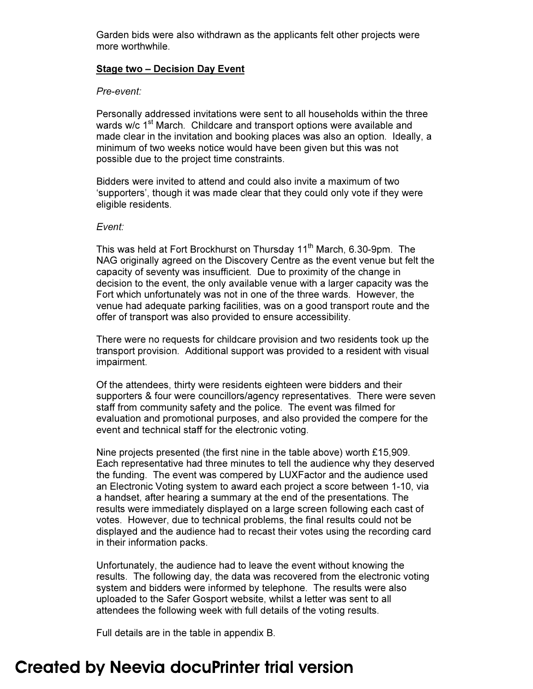Garden bids were also withdrawn as the applicants felt other projects were more worthwhile.

#### Stage two – Decision Day Event

#### *Pre-event:*

Personally addressed invitations were sent to all households within the three wards w/c 1<sup>st</sup> March. Childcare and transport options were available and made clear in the invitation and booking places was also an option. Ideally, a minimum of two weeks notice would have been given but this was not possible due to the project time constraints.

Bidders were invited to attend and could also invite a maximum of two 'supporters', though it was made clear that they could only vote if they were eligible residents.

#### *Event:*

This was held at Fort Brockhurst on Thursday 11<sup>th</sup> March, 6.30-9pm. The NAG originally agreed on the Discovery Centre as the event venue but felt the capacity of seventy was insufficient. Due to proximity of the change in decision to the event, the only available venue with a larger capacity was the Fort which unfortunately was not in one of the three wards. However, the venue had adequate parking facilities, was on a good transport route and the offer of transport was also provided to ensure accessibility.

There were no requests for childcare provision and two residents took up the transport provision. Additional support was provided to a resident with visual impairment.

Of the attendees, thirty were residents eighteen were bidders and their supporters & four were councillors/agency representatives. There were seven staff from community safety and the police. The event was filmed for evaluation and promotional purposes, and also provided the compere for the event and technical staff for the electronic voting.

Nine projects presented (the first nine in the table above) worth £15,909. Each representative had three minutes to tell the audience why they deserved the funding. The event was compered by LUXFactor and the audience used an Electronic Voting system to award each project a score between 1-10, via a handset, after hearing a summary at the end of the presentations. The results were immediately displayed on a large screen following each cast of votes. However, due to technical problems, the final results could not be displayed and the audience had to recast their votes using the recording card in their information packs.

Unfortunately, the audience had to leave the event without knowing the results. The following day, the data was recovered from the electronic voting system and bidders were informed by telephone. The results were also uploaded to the Safer Gosport website, whilst a letter was sent to all attendees the following week with full details of the voting results.

Full details are in the table in appendix B.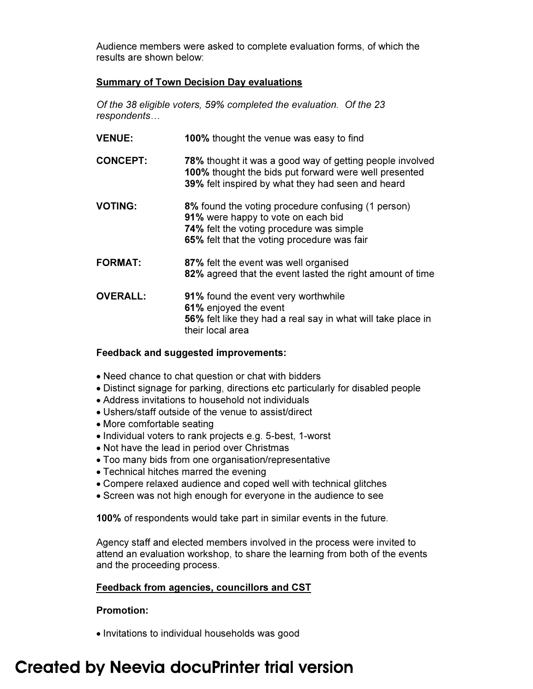Audience members were asked to complete evaluation forms, of which the results are shown below:

## Summary of Town Decision Day evaluations

*Of the 38 eligible voters, 59% completed the evaluation. Of the 23 respondents…* 

| <b>VENUE:</b>   | 100% thought the venue was easy to find                                                                                                                                             |
|-----------------|-------------------------------------------------------------------------------------------------------------------------------------------------------------------------------------|
| <b>CONCEPT:</b> | 78% thought it was a good way of getting people involved<br>100% thought the bids put forward were well presented<br>39% felt inspired by what they had seen and heard              |
| <b>VOTING:</b>  | 8% found the voting procedure confusing (1 person)<br>91% were happy to vote on each bid<br>74% felt the voting procedure was simple<br>65% felt that the voting procedure was fair |
| <b>FORMAT:</b>  | 87% felt the event was well organised<br>82% agreed that the event lasted the right amount of time                                                                                  |
| <b>OVERALL:</b> | <b>91%</b> found the event very worthwhile<br>61% enjoyed the event<br>56% felt like they had a real say in what will take place in<br>their local area                             |

## Feedback and suggested improvements:

- Need chance to chat question or chat with bidders
- Distinct signage for parking, directions etc particularly for disabled people
- Address invitations to household not individuals
- Ushers/staff outside of the venue to assist/direct
- More comfortable seating
- Individual voters to rank projects e.g. 5-best, 1-worst
- Not have the lead in period over Christmas
- Too many bids from one organisation/representative
- Technical hitches marred the evening
- Compere relaxed audience and coped well with technical glitches
- Screen was not high enough for everyone in the audience to see

100% of respondents would take part in similar events in the future.

Agency staff and elected members involved in the process were invited to attend an evaluation workshop, to share the learning from both of the events and the proceeding process.

## Feedback from agencies, councillors and CST

## Promotion:

• Invitations to individual households was good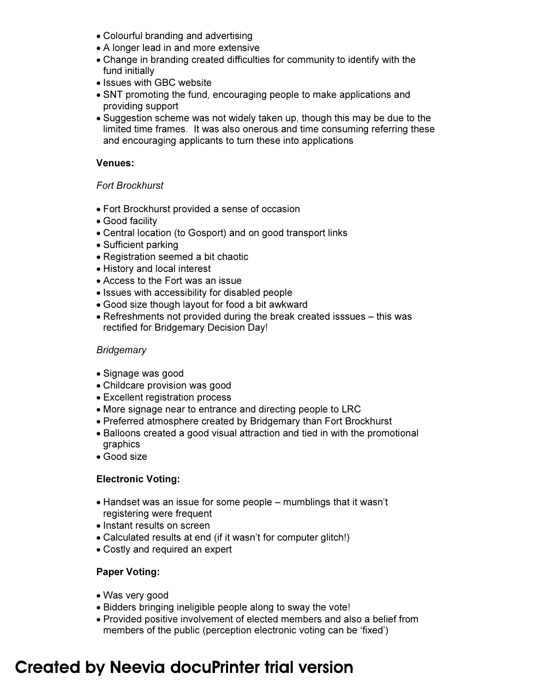- Colourful branding and advertising
- A longer lead in and more extensive
- Change in branding created difficulties for community to identify with the fund initially
- Issues with GBC website
- SNT promoting the fund, encouraging people to make applications and providing support
- Suggestion scheme was not widely taken up, though this may be due to the limited time frames. It was also onerous and time consuming referring these and encouraging applicants to turn these into applications

## Venues:

## *Fort Brockhurst*

- Fort Brockhurst provided a sense of occasion
- Good facility
- Central location (to Gosport) and on good transport links
- Sufficient parking
- Registration seemed a bit chaotic
- History and local interest
- Access to the Fort was an issue
- Issues with accessibility for disabled people
- Good size though layout for food a bit awkward
- Refreshments not provided during the break created isssues this was rectified for Bridgemary Decision Day!

## *Bridgemary*

- Signage was good
- Childcare provision was good
- Excellent registration process
- More signage near to entrance and directing people to LRC
- Preferred atmosphere created by Bridgemary than Fort Brockhurst
- Balloons created a good visual attraction and tied in with the promotional graphics
- Good size

## Electronic Voting:

- Handset was an issue for some people mumblings that it wasn't registering were frequent
- Instant results on screen
- Calculated results at end (if it wasn't for computer glitch!)
- Costly and required an expert

## Paper Voting:

- Was very good
- Bidders bringing ineligible people along to sway the vote!
- Provided positive involvement of elected members and also a belief from members of the public (perception electronic voting can be 'fixed')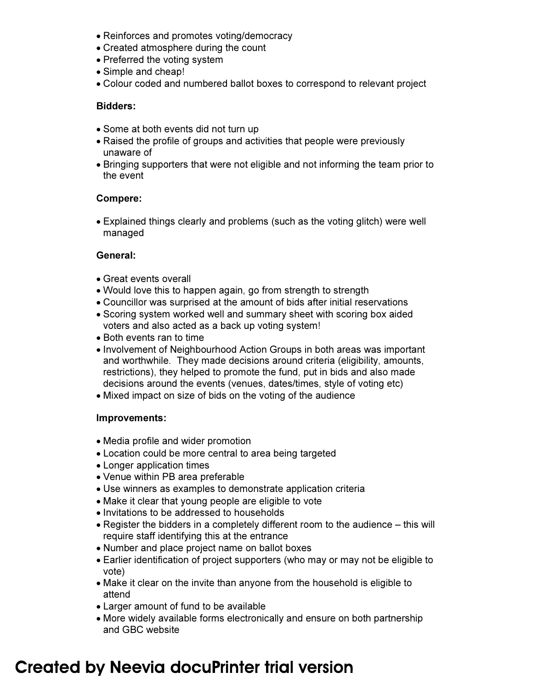- Reinforces and promotes voting/democracy
- Created atmosphere during the count
- Preferred the voting system
- Simple and cheap!
- Colour coded and numbered ballot boxes to correspond to relevant project

## Bidders:

- Some at both events did not turn up
- Raised the profile of groups and activities that people were previously unaware of
- Bringing supporters that were not eligible and not informing the team prior to the event

## Compere:

• Explained things clearly and problems (such as the voting glitch) were well managed

## General:

- Great events overall
- Would love this to happen again, go from strength to strength
- Councillor was surprised at the amount of bids after initial reservations
- Scoring system worked well and summary sheet with scoring box aided voters and also acted as a back up voting system!
- Both events ran to time
- Involvement of Neighbourhood Action Groups in both areas was important and worthwhile. They made decisions around criteria (eligibility, amounts, restrictions), they helped to promote the fund, put in bids and also made decisions around the events (venues, dates/times, style of voting etc)
- Mixed impact on size of bids on the voting of the audience

## Improvements:

- Media profile and wider promotion
- Location could be more central to area being targeted
- Longer application times
- Venue within PB area preferable
- Use winners as examples to demonstrate application criteria
- Make it clear that young people are eligible to vote
- Invitations to be addressed to households
- Register the bidders in a completely different room to the audience this will require staff identifying this at the entrance
- Number and place project name on ballot boxes
- Earlier identification of project supporters (who may or may not be eligible to vote)
- Make it clear on the invite than anyone from the household is eligible to attend
- Larger amount of fund to be available
- More widely available forms electronically and ensure on both partnership and GBC website